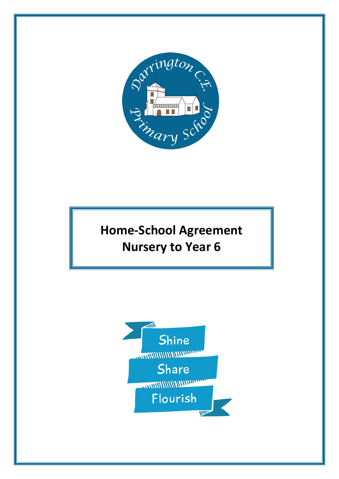

# **Home-School Agreement Nursery to Year 6**

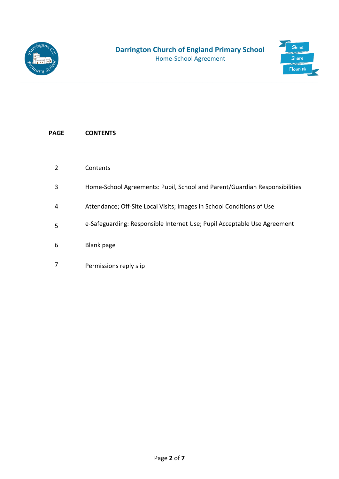



# **PAGE CONTENTS**

- 2 Contents
- 3 Home-School Agreements: Pupil, School and Parent/Guardian Responsibilities
- 4 Attendance; Off-Site Local Visits; Images in School Conditions of Use
- 5 e-Safeguarding: Responsible Internet Use; Pupil Acceptable Use Agreement
- 6 Blank page
- 7 Permissions reply slip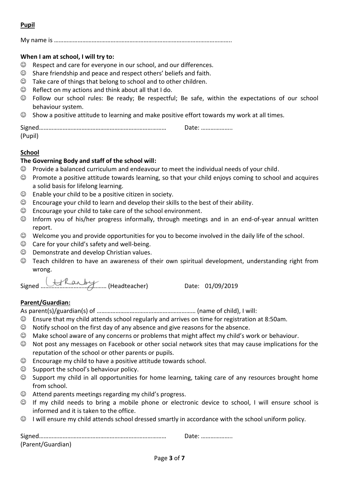# **Pupil**

My name is …………………………………………………………………………………………………..

#### **When I am at school, I will try to:**

- $\odot$  Respect and care for everyone in our school, and our differences.
- $\odot$  Share friendship and peace and respect others' beliefs and faith.
- $\odot$  Take care of things that belong to school and to other children.
- $\odot$  Reflect on my actions and think about all that I do.
- Follow our school rules: Be ready; Be respectful; Be safe, within the expectations of our school behaviour system.
- $\odot$  Show a positive attitude to learning and make positive effort towards my work at all times.

|         | Date: |
|---------|-------|
| (Pupil) |       |

#### **School**

#### **The Governing Body and staff of the school will:**

- $\heartsuit$  Provide a balanced curriculum and endeavour to meet the individual needs of your child.
- $\odot$  Promote a positive attitude towards learning, so that your child enjoys coming to school and acquires a solid basis for lifelong learning.
- $\odot$  Enable your child to be a positive citizen in society.
- $\odot$  Encourage your child to learn and develop their skills to the best of their ability.
- $\odot$  Encourage your child to take care of the school environment.
- $\odot$  Inform you of his/her progress informally, through meetings and in an end-of-year annual written report.
- $\odot$  Welcome you and provide opportunities for you to become involved in the daily life of the school.
- $\odot$  Care for your child's safety and well-being.
- Demonstrate and develop Christian values.
- $\odot$  Teach children to have an awareness of their own spiritual development, understanding right from wrong.

Signed …………………………………… (Headteacher) Date: 01/09/2019

# **Parent/Guardian:**

As parent(s)/guardian(s) of ……………………………………………………… (name of child), I will:

- $\odot$  Ensure that my child attends school regularly and arrives on time for registration at 8:50am.
- $\odot$  Notify school on the first day of any absence and give reasons for the absence.
- $\odot$  Make school aware of any concerns or problems that might affect my child's work or behaviour.
- Not post any messages on Facebook or other social network sites that may cause implications for the reputation of the school or other parents or pupils.
- $\odot$  Encourage my child to have a positive attitude towards school.
- $\odot$  Support the school's behaviour policy.
- Support my child in all opportunities for home learning, taking care of any resources brought home from school.
- Attend parents meetings regarding my child's progress.
- $\odot$  If my child needs to bring a mobile phone or electronic device to school, I will ensure school is informed and it is taken to the office.
- $\odot$  I will ensure my child attends school dressed smartly in accordance with the school uniform policy.

Signed……………………………………………………………………… Date: ……………….. (Parent/Guardian)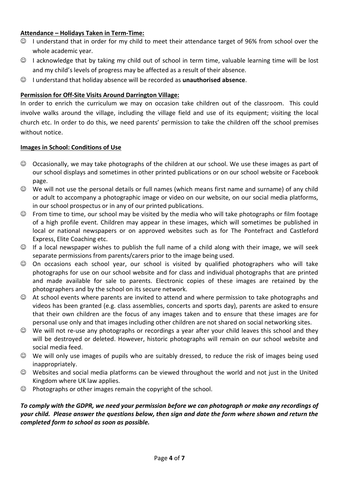# **Attendance – Holidays Taken in Term-Time:**

- I understand that in order for my child to meet their attendance target of 96% from school over the whole academic year.
- $\odot$  I acknowledge that by taking my child out of school in term time, valuable learning time will be lost and my child's levels of progress may be affected as a result of their absence.
- I understand that holiday absence will be recorded as **unauthorised absence**.

#### **Permission for Off-Site Visits Around Darrington Village:**

In order to enrich the curriculum we may on occasion take children out of the classroom. This could involve walks around the village, including the village field and use of its equipment; visiting the local church etc. In order to do this, we need parents' permission to take the children off the school premises without notice.

#### **Images in School: Conditions of Use**

- $\odot$  Occasionally, we may take photographs of the children at our school. We use these images as part of our school displays and sometimes in other printed publications or on our school website or Facebook page.
- $\odot$  We will not use the personal details or full names (which means first name and surname) of any child or adult to accompany a photographic image or video on our website, on our social media platforms, in our school prospectus or in any of our printed publications.
- $\odot$  From time to time, our school may be visited by the media who will take photographs or film footage of a high profile event. Children may appear in these images, which will sometimes be published in local or national newspapers or on approved websites such as for The Pontefract and Castleford Express, Elite Coaching etc.
- $\heartsuit$  If a local newspaper wishes to publish the full name of a child along with their image, we will seek separate permissions from parents/carers prior to the image being used.
- $\odot$  On occasions each school year, our school is visited by qualified photographers who will take photographs for use on our school website and for class and individual photographs that are printed and made available for sale to parents. Electronic copies of these images are retained by the photographers and by the school on its secure network.
- $\heartsuit$  At school events where parents are invited to attend and where permission to take photographs and videos has been granted (e.g. class assemblies, concerts and sports day), parents are asked to ensure that their own children are the focus of any images taken and to ensure that these images are for personal use only and that images including other children are not shared on social networking sites.
- $\heartsuit$  We will not re-use any photographs or recordings a year after your child leaves this school and they will be destroyed or deleted. However, historic photographs will remain on our school website and social media feed.
- $\heartsuit$  We will only use images of pupils who are suitably dressed, to reduce the risk of images being used inappropriately.
- $\heartsuit$  Websites and social media platforms can be viewed throughout the world and not just in the United Kingdom where UK law applies.
- $\odot$  Photographs or other images remain the copyright of the school.

# *To comply with the GDPR, we need your permission before we can photograph or make any recordings of your child. Please answer the questions below, then sign and date the form where shown and return the completed form to school as soon as possible.*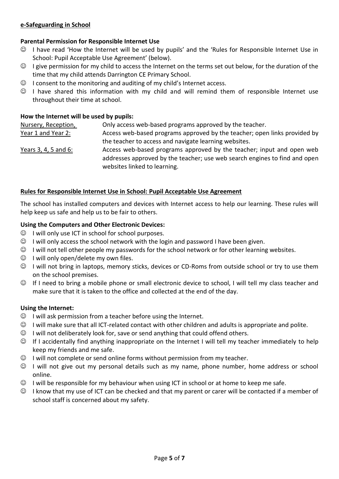# **e-Safeguarding in School**

# **Parental Permission for Responsible Internet Use**

- $\odot$  I have read 'How the Internet will be used by pupils' and the 'Rules for Responsible Internet Use in School: Pupil Acceptable Use Agreement' (below).
- $\odot$  I give permission for my child to access the Internet on the terms set out below, for the duration of the time that my child attends Darrington CE Primary School.
- $\odot$  I consent to the monitoring and auditing of my child's Internet access.
- $\odot$  I have shared this information with my child and will remind them of responsible Internet use throughout their time at school.

# **How the Internet will be used by pupils:**

| Nursery, Reception,  | Only access web-based programs approved by the teacher.                                                                                                                             |
|----------------------|-------------------------------------------------------------------------------------------------------------------------------------------------------------------------------------|
| Year 1 and Year 2:   | Access web-based programs approved by the teacher; open links provided by                                                                                                           |
|                      | the teacher to access and navigate learning websites.                                                                                                                               |
| Years 3, 4, 5 and 6: | Access web-based programs approved by the teacher; input and open web<br>addresses approved by the teacher; use web search engines to find and open<br>websites linked to learning. |

# **Rules for Responsible Internet Use in School: Pupil Acceptable Use Agreement**

The school has installed computers and devices with Internet access to help our learning. These rules will help keep us safe and help us to be fair to others.

# **Using the Computers and Other Electronic Devices:**

- $\odot$  I will only use ICT in school for school purposes.
- $\odot$  I will only access the school network with the login and password I have been given.
- $\odot$  I will not tell other people my passwords for the school network or for other learning websites.
- $\odot$  I will only open/delete my own files.
- $\odot$  I will not bring in laptops, memory sticks, devices or CD-Roms from outside school or try to use them on the school premises.
- $\odot$  If I need to bring a mobile phone or small electronic device to school, I will tell my class teacher and make sure that it is taken to the office and collected at the end of the day.

# **Using the Internet:**

- $\odot$  I will ask permission from a teacher before using the Internet.
- $\odot$  I will make sure that all ICT-related contact with other children and adults is appropriate and polite.
- $\odot$  I will not deliberately look for, save or send anything that could offend others.
- $\circled{0}$  If I accidentally find anything inappropriate on the Internet I will tell my teacher immediately to help keep my friends and me safe.
- $\odot$  I will not complete or send online forms without permission from my teacher.
- $\odot$  I will not give out my personal details such as my name, phone number, home address or school online.
- $\odot$  I will be responsible for my behaviour when using ICT in school or at home to keep me safe.
- $\odot$  I know that my use of ICT can be checked and that my parent or carer will be contacted if a member of school staff is concerned about my safety.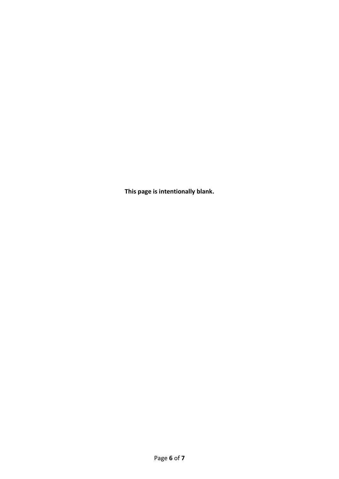**This page is intentionally blank.**